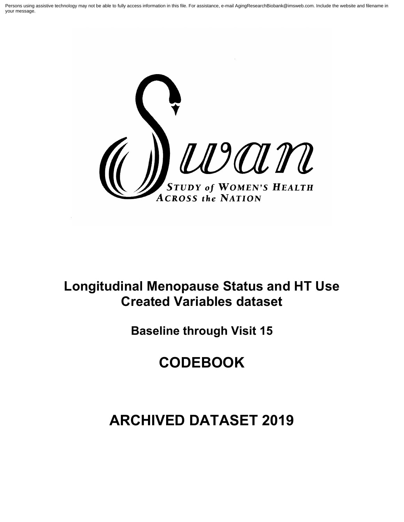Persons using assistive technology may not be able to fully access information in this file. For assistance, e-mail AgingResearchBiobank@imsweb.com. Include the website and filename in your message.



## **Longitudinal Menopause Status and HT Use Created Variables dataset**

**Baseline through Visit 15**

# **CODEBOOK**

## **ARCHIVED DATASET 2019**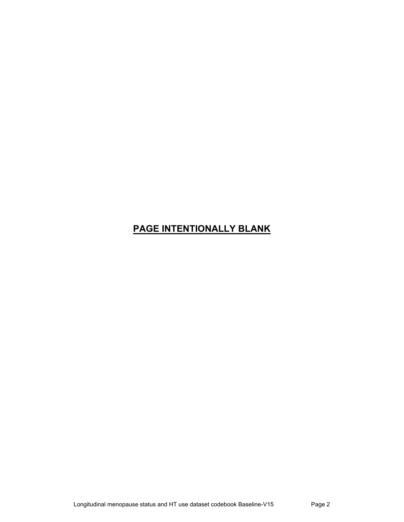## **PAGE INTENTIONALLY BLANK**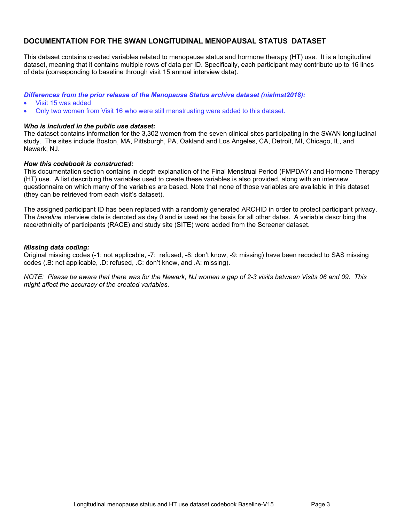## **DOCUMENTATION FOR THE SWAN LONGITUDINAL MENOPAUSAL STATUS DATASET**

This dataset contains created variables related to menopause status and hormone therapy (HT) use. It is a longitudinal dataset, meaning that it contains multiple rows of data per ID. Specifically, each participant may contribute up to 16 lines of data (corresponding to baseline through visit 15 annual interview data).

#### *Differences from the prior release of the Menopause Status archive dataset (nialmst2018):*

- Visit 15 was added
- Only two women from Visit 16 who were still menstruating were added to this dataset.

#### *Who is included in the public use dataset:*

The dataset contains information for the 3,302 women from the seven clinical sites participating in the SWAN longitudinal study. The sites include Boston, MA, Pittsburgh, PA, Oakland and Los Angeles, CA, Detroit, MI, Chicago, IL, and Newark, NJ.

#### *How this codebook is constructed:*

This documentation section contains in depth explanation of the Final Menstrual Period (FMPDAY) and Hormone Therapy (HT) use. A list describing the variables used to create these variables is also provided, along with an interview questionnaire on which many of the variables are based. Note that none of those variables are available in this dataset (they can be retrieved from each visit's dataset).

The assigned participant ID has been replaced with a randomly generated ARCHID in order to protect participant privacy. The *baseline* interview date is denoted as day 0 and is used as the basis for all other dates. A variable describing the race/ethnicity of participants (RACE) and study site (SITE) were added from the Screener dataset.

#### *Missing data coding:*

Original missing codes (-1: not applicable, -7: refused, -8: don't know, -9: missing) have been recoded to SAS missing codes (.B: not applicable, .D: refused, .C: don't know, and .A: missing).

*NOTE: Please be aware that there was for the Newark, NJ women a gap of 2-3 visits between Visits 06 and 09. This might affect the accuracy of the created variables.*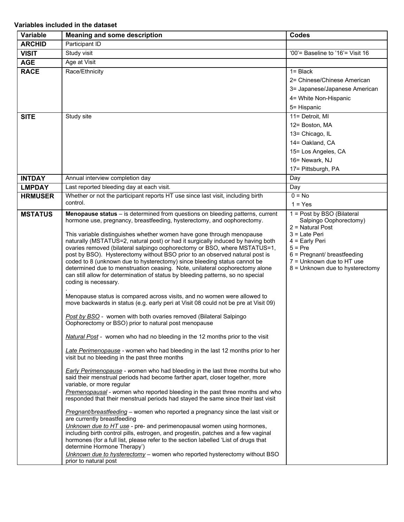## **Variables included in the dataset**

| Variable       | <b>Meaning and some description</b>                                                                                                                             | <b>Codes</b>                                                 |
|----------------|-----------------------------------------------------------------------------------------------------------------------------------------------------------------|--------------------------------------------------------------|
| <b>ARCHID</b>  | Participant ID                                                                                                                                                  |                                                              |
| <b>VISIT</b>   | Study visit                                                                                                                                                     | '00'= Baseline to '16'= Visit 16                             |
| <b>AGE</b>     | Age at Visit                                                                                                                                                    |                                                              |
| <b>RACE</b>    | Race/Ethnicity                                                                                                                                                  | $1 = Black$                                                  |
|                |                                                                                                                                                                 | 2= Chinese/Chinese American                                  |
|                |                                                                                                                                                                 | 3= Japanese/Japanese American                                |
|                |                                                                                                                                                                 | 4= White Non-Hispanic                                        |
|                |                                                                                                                                                                 | 5= Hispanic                                                  |
| <b>SITE</b>    | Study site                                                                                                                                                      | $\overline{11}$ = Detroit, MI                                |
|                |                                                                                                                                                                 | 12= Boston, MA                                               |
|                |                                                                                                                                                                 | 13= Chicago, IL                                              |
|                |                                                                                                                                                                 | 14= Oakland, CA                                              |
|                |                                                                                                                                                                 | 15= Los Angeles, CA                                          |
|                |                                                                                                                                                                 | 16= Newark, NJ                                               |
|                |                                                                                                                                                                 | 17= Pittsburgh, PA                                           |
| <b>INTDAY</b>  | Annual interview completion day                                                                                                                                 | Day                                                          |
| <b>LMPDAY</b>  | Last reported bleeding day at each visit.                                                                                                                       | Day                                                          |
| <b>HRMUSER</b> | Whether or not the participant reports HT use since last visit, including birth                                                                                 | $\overline{0}$ = No                                          |
|                | control.                                                                                                                                                        | $1 = Yes$                                                    |
| <b>MSTATUS</b> | <b>Menopause status</b> – is determined from questions on bleeding patterns, current                                                                            | 1 = Post by BSO (Bilateral                                   |
|                | hormone use, pregnancy, breastfeeding, hysterectomy, and oophorectomy.                                                                                          | Salpingo Oophorectomy)                                       |
|                |                                                                                                                                                                 | 2 = Natural Post                                             |
|                | This variable distinguishes whether women have gone through menopause<br>naturally (MSTATUS=2, natural post) or had it surgically induced by having both        | 3 = Late Peri<br>$4 =$ Early Peri                            |
|                | ovaries removed (bilateral salpingo oophorectomy or BSO, where MSTATUS=1,                                                                                       | $5 = Pre$                                                    |
|                | post by BSO). Hysterectomy without BSO prior to an observed natural post is                                                                                     | $6$ = Pregnant/ breastfeeding                                |
|                | coded to 8 (unknown due to hysterectomy) since bleeding status cannot be<br>determined due to menstruation ceasing. Note, unilateral oophorectomy alone         | 7 = Unknown due to HT use<br>8 = Unknown due to hysterectomy |
|                | can still allow for determination of status by bleeding patterns, so no special                                                                                 |                                                              |
|                | coding is necessary.                                                                                                                                            |                                                              |
|                |                                                                                                                                                                 |                                                              |
|                | Menopause status is compared across visits, and no women were allowed to<br>move backwards in status (e.g. early peri at Visit 08 could not be pre at Visit 09) |                                                              |
|                |                                                                                                                                                                 |                                                              |
|                | Post by BSO - women with both ovaries removed (Bilateral Salpingo                                                                                               |                                                              |
|                | Oophorectomy or BSO) prior to natural post menopause                                                                                                            |                                                              |
|                | Natural Post - women who had no bleeding in the 12 months prior to the visit                                                                                    |                                                              |
|                | Late Perimenopause - women who had bleeding in the last 12 months prior to her                                                                                  |                                                              |
|                | visit but no bleeding in the past three months                                                                                                                  |                                                              |
|                | <b>Early Perimenopause</b> - women who had bleeding in the last three months but who                                                                            |                                                              |
|                | said their menstrual periods had become farther apart, closer together, more                                                                                    |                                                              |
|                | variable, or more regular                                                                                                                                       |                                                              |
|                | Premenopausal - women who reported bleeding in the past three months and who                                                                                    |                                                              |
|                | responded that their menstrual periods had stayed the same since their last visit                                                                               |                                                              |
|                | Pregnant/breastfeeding - women who reported a pregnancy since the last visit or                                                                                 |                                                              |
|                | are currently breastfeeding                                                                                                                                     |                                                              |
|                | Unknown due to HT use - pre- and perimenopausal women using hormones,<br>including birth control pills, estrogen, and progestin, patches and a few vaginal      |                                                              |
|                | hormones (for a full list, please refer to the section labelled 'List of drugs that                                                                             |                                                              |
|                | determine Hormone Therapy')                                                                                                                                     |                                                              |
|                | Unknown due to hysterectomy - women who reported hysterectomy without BSO                                                                                       |                                                              |
|                | prior to natural post                                                                                                                                           |                                                              |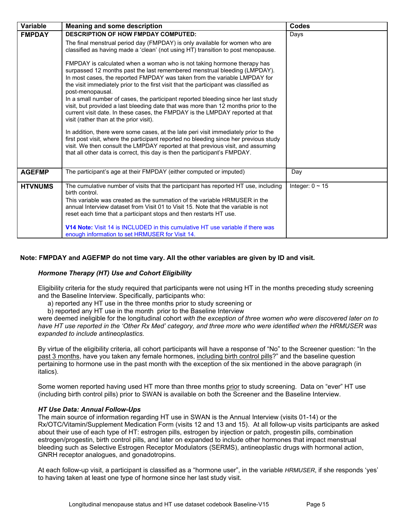| Variable       | <b>Meaning and some description</b>                                                                                                                                      | <b>Codes</b>         |
|----------------|--------------------------------------------------------------------------------------------------------------------------------------------------------------------------|----------------------|
| <b>FMPDAY</b>  | <b>DESCRIPTION OF HOW FMPDAY COMPUTED:</b>                                                                                                                               | Days                 |
|                | The final menstrual period day (FMPDAY) is only available for women who are                                                                                              |                      |
|                | classified as having made a 'clean' (not using HT) transition to post menopause.                                                                                         |                      |
|                |                                                                                                                                                                          |                      |
|                | FMPDAY is calculated when a woman who is not taking hormone therapy has<br>surpassed 12 months past the last remembered menstrual bleeding (LMPDAY).                     |                      |
|                | In most cases, the reported FMPDAY was taken from the variable LMPDAY for                                                                                                |                      |
|                | the visit immediately prior to the first visit that the participant was classified as                                                                                    |                      |
|                | post-menopausal.                                                                                                                                                         |                      |
|                | In a small number of cases, the participant reported bleeding since her last study                                                                                       |                      |
|                | visit, but provided a last bleeding date that was more than 12 months prior to the<br>current visit date. In these cases, the FMPDAY is the LMPDAY reported at that      |                      |
|                | visit (rather than at the prior visit).                                                                                                                                  |                      |
|                |                                                                                                                                                                          |                      |
|                | In addition, there were some cases, at the late peri visit immediately prior to the                                                                                      |                      |
|                | first post visit, where the participant reported no bleeding since her previous study<br>visit. We then consult the LMPDAY reported at that previous visit, and assuming |                      |
|                | that all other data is correct, this day is then the participant's FMPDAY.                                                                                               |                      |
|                |                                                                                                                                                                          |                      |
| <b>AGEFMP</b>  | The participant's age at their FMPDAY (either computed or imputed)                                                                                                       | Day                  |
|                |                                                                                                                                                                          |                      |
| <b>HTVNUMS</b> | The cumulative number of visits that the participant has reported HT use, including                                                                                      | Integer: $0 \sim 15$ |
|                | birth control.                                                                                                                                                           |                      |
|                | This variable was created as the summation of the variable HRMUSER in the                                                                                                |                      |
|                | annual Interview dataset from Visit 01 to Visit 15. Note that the variable is not<br>reset each time that a participant stops and then restarts HT use.                  |                      |
|                |                                                                                                                                                                          |                      |
|                | <b>V14 Note:</b> Visit 14 is INCLUDED in this cumulative HT use variable if there was                                                                                    |                      |
|                | enough information to set HRMUSER for Visit 14.                                                                                                                          |                      |

## **Note: FMPDAY and AGEFMP do not time vary. All the other variables are given by ID and visit.**

#### *Hormone Therapy (HT) Use and Cohort Eligibility*

Eligibility criteria for the study required that participants were not using HT in the months preceding study screening and the Baseline Interview. Specifically, participants who:

- a) reported any HT use in the three months prior to study screening or
- b) reported any HT use in the month prior to the Baseline Interview

were deemed ineligible for the longitudinal cohort *with the exception of three women who were discovered later on to have HT use reported in the 'Other Rx Med' category, and three more who were identified when the HRMUSER was expanded to include antineoplastics.*

By virtue of the eligibility criteria, all cohort participants will have a response of "No" to the Screener question: "In the past 3 months, have you taken any female hormones, including birth control pills?" and the baseline question pertaining to hormone use in the past month with the exception of the six mentioned in the above paragraph (in italics).

Some women reported having used HT more than three months prior to study screening. Data on "ever" HT use (including birth control pills) prior to SWAN is available on both the Screener and the Baseline Interview.

#### *HT Use Data: Annual Follow-Ups*

The main source of information regarding HT use in SWAN is the Annual Interview (visits 01-14) or the Rx/OTC/Vitamin/Supplement Medication Form (visits 12 and 13 and 15). At all follow-up visits participants are asked about their use of each type of HT: estrogen pills, estrogen by injection or patch, progestin pills, combination estrogen/progestin, birth control pills, and later on expanded to include other hormones that impact menstrual bleeding such as Selective Estrogen Receptor Modulators (SERMS), antineoplastic drugs with hormonal action, GNRH receptor analogues, and gonadotropins.

At each follow-up visit, a participant is classified as a "hormone user", in the variable *HRMUSER*, if she responds 'yes' to having taken at least one type of hormone since her last study visit.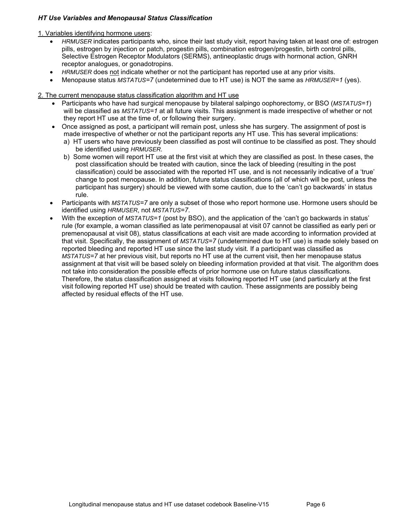## *HT Use Variables and Menopausal Status Classification*

1. Variables identifying hormone users:

- *HRMUSER* indicates participants who, since their last study visit, report having taken at least one of: estrogen pills, estrogen by injection or patch, progestin pills, combination estrogen/progestin, birth control pills, Selective Estrogen Receptor Modulators (SERMS), antineoplastic drugs with hormonal action, GNRH receptor analogues, or gonadotropins.
- *HRMUSER* does not indicate whether or not the participant has reported use at any prior visits.
- Menopause status *MSTATUS=7* (undetermined due to HT use) is NOT the same as *HRMUSER=1* (yes).

## 2. The current menopause status classification algorithm and HT use

- Participants who have had surgical menopause by bilateral salpingo oophorectomy, or BSO (*MSTATUS=1*) will be classified as *MSTATUS=1* at all future visits. This assignment is made irrespective of whether or not they report HT use at the time of, or following their surgery.
- Once assigned as post, a participant will remain post, unless she has surgery. The assignment of post is made irrespective of whether or not the participant reports any HT use. This has several implications:
	- a) HT users who have previously been classified as post will continue to be classified as post. They should be identified using *HRMUSER*.
	- b) Some women will report HT use at the first visit at which they are classified as post. In these cases, the post classification should be treated with caution, since the lack of bleeding (resulting in the post classification) could be associated with the reported HT use, and is not necessarily indicative of a 'true' change to post menopause. In addition, future status classifications (all of which will be post, unless the participant has surgery) should be viewed with some caution, due to the 'can't go backwards' in status rule.
- Participants with *MSTATUS=7* are only a subset of those who report hormone use. Hormone users should be identified using *HRMUSER*, not *MSTATUS=7*.
- With the exception of *MSTATUS=1* (post by BSO), and the application of the 'can't go backwards in status' rule (for example, a woman classified as late perimenopausal at visit 07 cannot be classified as early peri or premenopausal at visit 08), status classifications at each visit are made according to information provided at that visit. Specifically, the assignment of *MSTATUS=7* (undetermined due to HT use) is made solely based on reported bleeding and reported HT use since the last study visit. If a participant was classified as *MSTATUS=7* at her previous visit, but reports no HT use at the current visit, then her menopause status assignment at that visit will be based solely on bleeding information provided at that visit. The algorithm does not take into consideration the possible effects of prior hormone use on future status classifications. Therefore, the status classification assigned at visits following reported HT use (and particularly at the first visit following reported HT use) should be treated with caution. These assignments are possibly being affected by residual effects of the HT use.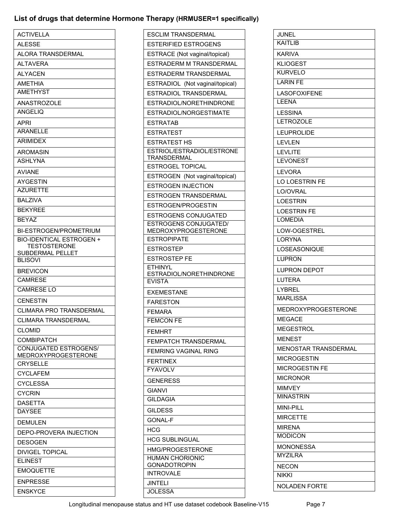## **List of drugs that determine Hormone Therapy (HRMUSER=1 specifically)**

| <b>ACTIVELLA</b>                        |
|-----------------------------------------|
| <b>ALESSE</b>                           |
| <b>ALORA TRANSDERMAL</b>                |
| <b>ALTAVERA</b>                         |
| <b>ALYACEN</b>                          |
| AMETHIA                                 |
| <b>AMETHYST</b>                         |
| <b>ANASTROZOLE</b>                      |
| ANGELIQ                                 |
| <b>APRI</b>                             |
| ARANELLE                                |
| <b>ARIMIDEX</b>                         |
| AROMASIN                                |
| <b>ASHLYNA</b>                          |
| <b>AVIANE</b>                           |
| <b>AYGESTIN</b>                         |
| <b>AZURETTE</b>                         |
| <b>BAI ZIVA</b>                         |
| <b>BEKYREE</b>                          |
| <b>BEYAZ</b>                            |
| BI-ESTROGEN/PROMETRIUM                  |
| <b>BIO-IDENTICAL ESTROGEN +</b>         |
| <b>TESTOSTERONE</b><br>SUBDERMAL PELLET |
| <b>BLISOVI</b>                          |
| <b>BREVICON</b>                         |
| <b>CAMRESE</b>                          |
| <b>CAMRESE LO</b>                       |
| CENESTIN                                |
| <b>CLIMARA PRO TRANSDERMAL</b>          |
| CLIMARA TRANSDERMAL                     |
| <b>CLOMID</b>                           |
| COMBIPATCH                              |
| <b>CONJUGATED ESTROGENS/</b>            |
| MEDROXYPROGESTERONE                     |
| <b>CRYSELLE</b>                         |
| <b>CYCLAFEM</b>                         |
| <b>CYCLESSA</b>                         |
| <b>CYCRIN</b>                           |
| <b>DASETTA</b><br><b>DAYSEE</b>         |
|                                         |
| <b>DEMULEN</b>                          |
| DEPO-PROVERA INJECTION                  |
| DESOGEN                                 |
| <b>DIVIGEL TOPICAL</b>                  |
| <b>ELINEST</b><br><b>EMOQUETTE</b>      |
|                                         |
| <b>ENPRESSE</b>                         |
| ENSKYCE                                 |

| <b>ESCLIM TRANSDERMAL</b>                |
|------------------------------------------|
| <b>ESTERIFIED ESTROGENS</b>              |
| ESTRACE (Not vaginal/topical)            |
| ESTRADERM M TRANSDERMAL                  |
| ESTRADERM TRANSDERMAL                    |
| ESTRADIOL (Not vaginal/topical)          |
| ESTRADIOL TRANSDERMAL                    |
| ESTRADIOL/NORETHINDRONE                  |
| ESTRADIOL/NORGESTIMATE                   |
| <b>ESTRATAB</b>                          |
| <b>ESTRATEST</b>                         |
| <b>ESTRATEST HS</b>                      |
| ESTRIOL/ESTRADIOL/ESTRONE                |
| TRANSDERMAL                              |
| <b>ESTROGEL TOPICAL</b>                  |
| ESTROGEN (Not vaginal/topical)           |
| <b>ESTROGEN INJECTION</b>                |
| ESTROGEN TRANSDERMAL                     |
| ESTROGEN/PROGESTIN                       |
| ESTROGENS CONJUGATED                     |
| <b>ESTROGENS CONJUGATED/</b>             |
| MEDROXYPROGESTERONE                      |
| <b>ESTROPIPATE</b>                       |
| <b>ESTROSTEP</b>                         |
| <b>ESTROSTEP FE</b>                      |
|                                          |
| <b>ETHINYL</b>                           |
| ESTRADIOL/NORETHINDRONE<br><b>EVISTA</b> |
| <b>EXEMESTANE</b>                        |
| <b>FARESTON</b>                          |
| <b>FEMARA</b>                            |
| <b>FEMCON FE</b>                         |
| <b>FEMHRT</b>                            |
| FEMPATCH TRANSDERMAL                     |
| FEMRING VAGINAL RING                     |
| <b>FERTINEX</b>                          |
| <b>FYAVOLV</b>                           |
|                                          |
| <b>GENERESS</b>                          |
| GIANVI<br>GILDAGIA                       |
|                                          |
| <b>GILDESS</b>                           |
| GONAL-F                                  |
| <b>HCG</b>                               |
| HCG SUBLINGUAL                           |
| <b>HMG/PROGESTERONE</b>                  |
| <b>HUMAN CHORIONIC</b><br>GONADOTROPIN   |
| <b>INTROVALE</b>                         |
| <b>JINTELI</b>                           |

| <b>JUNEL</b>         |
|----------------------|
| <b>KAITLIB</b>       |
| <b>KARIVA</b>        |
| <b>KLIOGEST</b>      |
| <b>KURVELO</b>       |
| <b>LARIN FE</b>      |
| <b>LASOFOXIFENE</b>  |
| LEENA                |
| <b>LESSINA</b>       |
| <b>LETROZOLE</b>     |
| LEUPROLIDE           |
| LEVLEN               |
| <b>LEVLITE</b>       |
| <b>LEVONEST</b>      |
| <b>LEVORA</b>        |
| LO LOESTRIN FE       |
| LO/OVRAL             |
| LOESTRIN             |
| <b>LOESTRIN FE</b>   |
| LOMEDIA              |
| LOW-OGESTREL         |
| <b>LORYNA</b>        |
| LOSEASONIQUE         |
| <b>LUPRON</b>        |
| <b>LUPRON DEPOT</b>  |
| LUTERA               |
| LYBREL               |
| <b>MARLISSA</b>      |
| MEDROXYPROGESTERONE  |
| <b>MEGACE</b>        |
| <b>MEGESTROL</b>     |
| MENEST               |
| MENOSTAR TRANSDERMAL |
| MICROGESTIN          |
| MICROGESTIN FE       |
| MICRONOR             |
| <b>MIMVEY</b>        |
| <b>MINASTRIN</b>     |
| <b>MINI-PILL</b>     |
| <b>MIRCETTE</b>      |
| MIRENA               |
| MODICON              |
| MONONESSA            |
| MYZILRA              |
| NECON                |
| <b>NIKKI</b>         |
| <b>NOLADEN FORTE</b> |

Longitudinal menopause status and HT use dataset codebook Baseline-V15 Page 7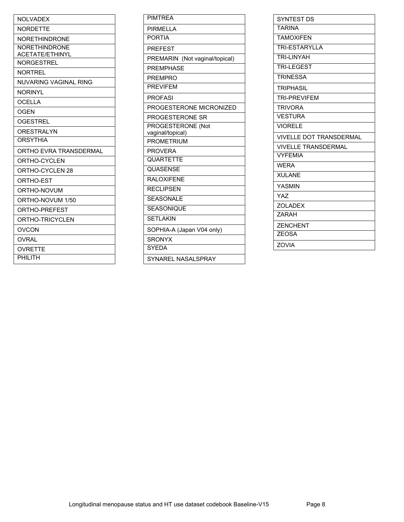| <b>NOLVADEX</b>                         |
|-----------------------------------------|
| <b>NORDETTE</b>                         |
| <b>NORFTHINDRONF</b>                    |
| <b>NORFTHINDRONF</b><br>ACETATE/ETHINYL |
| <b>NORGESTREL</b>                       |
| NORTRFI                                 |
| NUVARING VAGINAL RING                   |
| <b>NORINYL</b>                          |
| <b>OCELLA</b>                           |
| OGFN                                    |
| <b>OGESTREL</b>                         |
| ORESTRALYN                              |
| <b>ORSYTHIA</b>                         |
| ORTHO EVRA TRANSDERMAL                  |
| ORTHO-CYCLEN                            |
| ORTHO-CYCLEN 28                         |
| ORTHO-EST                               |
| ORTHO-NOVUM                             |
| ORTHO-NOVUM 1/50                        |
| ORTHO-PREFEST                           |
| ORTHO-TRICYCLEN                         |
| OVCON                                   |
| OVRAI                                   |
| OVRFTTF                                 |
| PHILITH                                 |

| <b>PIMTRFA</b>                 |
|--------------------------------|
| <b>PIRMELLA</b>                |
| <b>PORTIA</b>                  |
| <b>PREFEST</b>                 |
| PREMARIN (Not vaginal/topical) |
| <b>PREMPHASE</b>               |
| <b>PREMPRO</b>                 |
| <b>PREVIFEM</b>                |
| <b>PROFASI</b>                 |
| PROGESTERONE MICRONIZED        |
| PROGESTERONE SR                |
| PROGESTERONE (Not              |
| vaginal/topical)               |
| <b>PROMETRIUM</b>              |
| <b>PROVERA</b>                 |
| <b>QUARTETTE</b>               |
| <b>QUASENSE</b>                |
| <b>RALOXIFENE</b>              |
| <b>RFCI IPSFN</b>              |
| <b>SEASONALE</b>               |
| <b>SEASONIQUE</b>              |
| <b>SETLAKIN</b>                |
| SOPHIA-A (Japan V04 only)      |
| <b>SRONYX</b>                  |
| <b>SYEDA</b>                   |
| SYNAREL NASALSPRAY             |

| <b>SYNTEST DS</b>              |
|--------------------------------|
| <b>TARINA</b>                  |
| <b>TAMOXIFFN</b>               |
| TRI-FSTARYI I A                |
| <b>TRI-I INYAH</b>             |
| <b>TRI-I FGFST</b>             |
| <b>TRINFSSA</b>                |
| <b>TRIPHASIL</b>               |
| <b>TRI-PREVIFEM</b>            |
| <b>TRIVORA</b>                 |
| <b>VESTURA</b>                 |
| <b>VIORFIF</b>                 |
| <b>VIVELLE DOT TRANSDERMAL</b> |
| <b>VIVELLE TRANSDERMAL</b>     |
| <b>VYFFMIA</b>                 |
| <b>WFRA</b>                    |
| <b>XUI ANF</b>                 |
| YASMIN                         |
| YA7                            |
| <b>ZOLADEX</b>                 |
| <b>7ARAH</b>                   |
| <b>ZENCHENT</b>                |
| <b>ZEOSA</b>                   |
| <b>ZOVIA</b>                   |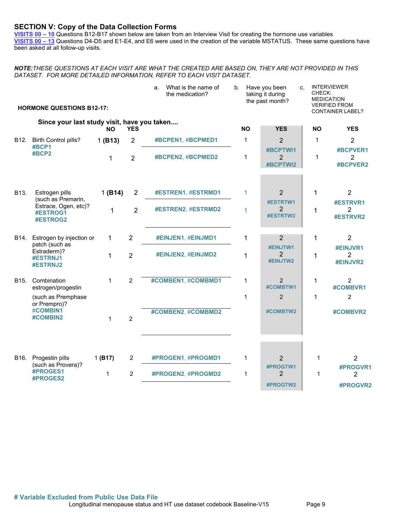## **SECTION V: Copy of the Data Collection Forms**

**VISITS 00 – 10** Questions B12-B17 shown below are taken from an Interview Visit for creating the hormone use variables **VISITS 00 – 13** Questions D4-D5 and E1-E4, and E6 were used in the creation of the variable MSTATUS. These same questions have been asked at all follow-up visits.

#### *NOTE:THESE QUESTIONS AT EACH VISIT ARE WHAT THE CREATED ARE BASED ON, THEY ARE NOT PROVIDED IN THIS DATASET. FOR MORE DETAILED INFORMATION, REFER TO EACH VISIT DATASET.*

|                                                          |                                                   |              |                | What is the name of<br>a.<br>the medication? | b.           | Have you been<br>C.<br>taking it during<br>the past month? | CHECK:       | <b>INTERVIEWER</b><br><b>MEDICATION</b>              |
|----------------------------------------------------------|---------------------------------------------------|--------------|----------------|----------------------------------------------|--------------|------------------------------------------------------------|--------------|------------------------------------------------------|
| <b>HORMONE QUESTIONS B12-17:</b>                         |                                                   |              |                |                                              |              | <b>VERIFIED FROM</b><br><b>CONTAINER LABEL?</b>            |              |                                                      |
|                                                          | Since your last study visit, have you taken       | <b>NO</b>    | <b>YES</b>     |                                              | <b>NO</b>    | <b>YES</b>                                                 | <b>NO</b>    | <b>YES</b>                                           |
| B12.                                                     | <b>Birth Control pills?</b><br>#BCP1              | 1(B13)       | $\overline{2}$ | #BCPEN1, #BCPMED1                            | $\mathbf{1}$ | $\overline{2}$                                             | $\mathbf{1}$ | $\overline{2}$                                       |
|                                                          | #BCP2                                             | 1            | $\overline{2}$ | #BCPEN2, #BCPMED2                            | $\mathbf{1}$ | #BCPTWI1<br>2<br>#BCPTWI2                                  | 1            | #BCPVER1<br>$\overline{2}$<br><b>#BCPVER2</b>        |
| B13.                                                     | Estrogen pills                                    | 1 (B14)      | $\overline{2}$ | #ESTREN1, #ESTRMD1                           | 1            | 2                                                          | 1            | $\overline{2}$                                       |
| (such as Premarin,<br><b>#ESTROG1</b><br><b>#ESTROG2</b> | Estrace, Ogen, etc)?                              | 1            | $\overline{2}$ | #ESTREN2, #ESTRMD2                           | 1            | <b>#ESTRTW1</b><br>2<br><b>#ESTRTW2</b>                    | 1            | <b>#ESTRVR1</b><br>2<br><b>#ESTRVR2</b>              |
| B14.                                                     | Estrogen by injection or<br>patch (such as        | 1            | $\overline{2}$ | #EINJEN1, #EINJMD1                           | 1            | $\overline{2}$                                             | 1            | $\overline{2}$                                       |
|                                                          | Estraderm)?<br><b>#ESTRNJ1</b><br><b>#ESTRNJ2</b> | 1            | $\overline{2}$ | #EINJEN2, #EINJMD2                           | 1            | <b>#EINJTW1</b><br>2<br>#EINJTW2                           | 1            | <b>#EINJVR1</b><br>$\overline{2}$<br><b>#EINJVR2</b> |
| B <sub>15</sub> .                                        | Combination<br>estrogen/progestin                 | 1            | $\overline{2}$ | #COMBEN1, #COMBMD1                           | 1            | $\overline{2}$<br>#COMBTW1                                 | 1            | $\overline{2}$<br>#COMBVR1                           |
|                                                          | (such as Premphase<br>or Prempro)?                |              |                |                                              | 1            | 2                                                          | 1            | $\overline{2}$                                       |
|                                                          | #COMBIN1<br>#COMBIN2                              | $\mathbf{1}$ | $\overline{2}$ | #COMBEN2, #COMBMD2                           |              | #COMBTW2                                                   |              | #COMBVR2                                             |
|                                                          |                                                   |              |                |                                              |              |                                                            |              |                                                      |
|                                                          | B16. Progestin pills<br>(such as Provera)?        | 1(B17)       | 2              | #PROGEN1, #PROGMD1                           | 1            | 2<br>#PROGTW1                                              | 1            | $\overline{2}$<br>#PROGVR1                           |
|                                                          | <b>#PROGES1</b><br><b>#PROGES2</b>                | $\mathbf{1}$ | $\overline{2}$ | #PROGEN2, #PROGMD2                           | $\mathbf{1}$ | 2<br>#PROGTW2                                              | 1            | 2<br>#PROGVR2                                        |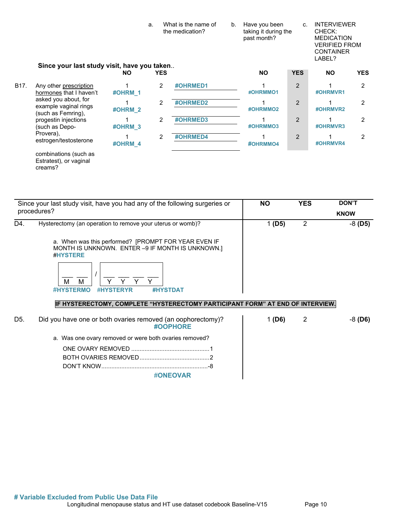|      |                                                                                                                                                                    |         | a.             | What is the name of<br>the medication? | b. | Have you been<br>taking it during the<br>past month? | C <sub>1</sub> | <b>INTERVIEWER</b><br>CHECK:<br><b>MEDICATION</b><br><b>VERIFIED FROM</b><br><b>CONTAINER</b><br>LABEL? |               |
|------|--------------------------------------------------------------------------------------------------------------------------------------------------------------------|---------|----------------|----------------------------------------|----|------------------------------------------------------|----------------|---------------------------------------------------------------------------------------------------------|---------------|
|      | Since your last study visit, have you taken                                                                                                                        | NO.     | <b>YES</b>     |                                        |    | <b>NO</b>                                            | <b>YES</b>     | <b>NO</b>                                                                                               | <b>YES</b>    |
| B17. | Any other prescription<br>hormones that I haven't<br>asked you about, for<br>example vaginal rings<br>(such as Femring),<br>progestin injections<br>(such as Depo- | #OHRM 1 | $\overline{2}$ | #OHRMED1                               |    | #OHRMMO1                                             | 2              | #OHRMVR1                                                                                                | 2             |
|      |                                                                                                                                                                    | #OHRM 2 | $\mathcal{P}$  | <b>#OHRMED2</b>                        |    | #OHRMMO2                                             | $\overline{2}$ | <b>#OHRMVR2</b>                                                                                         | 2             |
|      |                                                                                                                                                                    | #OHRM 3 | $\overline{2}$ | #OHRMED3                               |    | #OHRMMO3                                             | $\mathfrak{p}$ | #OHRMVR3                                                                                                | $\mathcal{P}$ |
|      | Provera),<br>estrogen/testosterone                                                                                                                                 | #OHRM 4 | $\overline{2}$ | #OHRMED4                               |    | #OHRMMO4                                             | $\mathcal{P}$  | #OHRMVR4                                                                                                | 2             |
|      | combinations (such as<br>Estratest), or vaginal<br>creams?                                                                                                         |         |                |                                        |    |                                                      |                |                                                                                                         |               |

|     | Since your last study visit, have you had any of the following surgeries or                                                 | <b>NO</b> | <b>YES</b> | <b>DON'T</b> |
|-----|-----------------------------------------------------------------------------------------------------------------------------|-----------|------------|--------------|
|     | procedures?                                                                                                                 |           |            | <b>KNOW</b>  |
| D4. | Hysterectomy (an operation to remove your uterus or womb)?                                                                  | 1(D5)     | 2          | -8 (D5)      |
|     | a. When was this performed? [PROMPT FOR YEAR EVEN IF<br>MONTH IS UNKNOWN. ENTER -9 IF MONTH IS UNKNOWN.]<br><b>#HYSTERE</b> |           |            |              |
|     | M<br>м<br><b>#HYSTERMO</b><br><b>#HYSTERYR</b><br><b>#HYSTDAT</b>                                                           |           |            |              |
|     | IF HYSTERECTOMY, COMPLETE "HYSTERECTOMY PARTICIPANT FORM" AT END OF INTERVIEW.                                              |           |            |              |
| D5. | Did you have one or both ovaries removed (an oophorectomy)?<br>#OOPHORE                                                     | 1(D6)     | 2          | -8 (D6)      |
|     | a. Was one ovary removed or were both ovaries removed?                                                                      |           |            |              |
|     |                                                                                                                             |           |            |              |

 $\mathbf{I}$ 

#**ONEOVAR**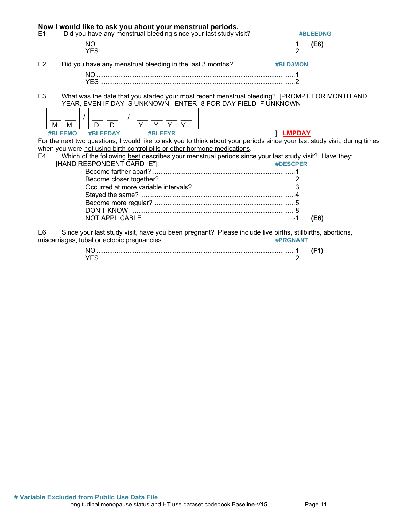| Now I would like to ask you about your menstrual periods.<br>Did you have any menstrual bleeding since your last study visit?<br>E1.                                                                                                                                                                              | <b>#BLEEDNG</b> |
|-------------------------------------------------------------------------------------------------------------------------------------------------------------------------------------------------------------------------------------------------------------------------------------------------------------------|-----------------|
|                                                                                                                                                                                                                                                                                                                   |                 |
|                                                                                                                                                                                                                                                                                                                   | (EE)            |
|                                                                                                                                                                                                                                                                                                                   |                 |
| E <sub>2</sub> .<br>Did you have any menstrual bleeding in the last 3 months?                                                                                                                                                                                                                                     | <b>#BLD3MON</b> |
|                                                                                                                                                                                                                                                                                                                   |                 |
|                                                                                                                                                                                                                                                                                                                   |                 |
| What was the date that you started your most recent menstrual bleeding? [PROMPT FOR MONTH AND<br>E3.<br>YEAR, EVEN IF DAY IS UNKNOWN. ENTER -8 FOR DAY FIELD IF UNKNOWN<br>$\sqrt{2}$<br>$\overline{Y}$ $\overline{Y}$ $\overline{Y}$<br>D.<br>D<br>M<br>М<br><b>#BLEEDAY</b><br><b>#BLEEMO</b><br><b>#BLEEYR</b> | LMPDAY          |
| For the next two questions, I would like to ask you to think about your periods since your last study visit, during times                                                                                                                                                                                         |                 |
| when you were not using birth control pills or other hormone medications.                                                                                                                                                                                                                                         |                 |
| Which of the following best describes your menstrual periods since your last study visit? Have they:<br>E4.                                                                                                                                                                                                       |                 |
| [HAND RESPONDENT CARD "E"]                                                                                                                                                                                                                                                                                        | <b>#DESCPER</b> |
|                                                                                                                                                                                                                                                                                                                   |                 |
|                                                                                                                                                                                                                                                                                                                   |                 |
|                                                                                                                                                                                                                                                                                                                   |                 |
|                                                                                                                                                                                                                                                                                                                   |                 |
|                                                                                                                                                                                                                                                                                                                   |                 |
|                                                                                                                                                                                                                                                                                                                   |                 |
|                                                                                                                                                                                                                                                                                                                   | (EE)            |
| E6.<br>Since your last study visit, have you been pregnant? Please include live births, stillbirths, abortions,                                                                                                                                                                                                   |                 |
| miscarriages, tubal or ectopic pregnancies.                                                                                                                                                                                                                                                                       | <b>#PRGNANT</b> |

NO .............................................................................................................1 **(F1)**

YES ...........................................................................................................2

| # Variable Excluded from Public Use Data File                          |         |
|------------------------------------------------------------------------|---------|
| Longitudinal menopause status and HT use dataset codebook Baseline-V15 | Page 11 |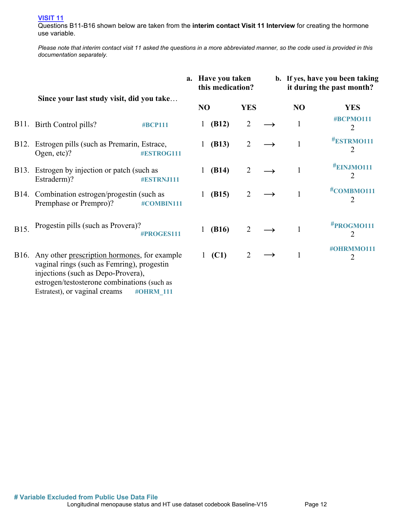**VISIT 11** 

Questions B11-B16 shown below are taken from the **interim contact Visit 11 Interview** for creating the hormone use variable.

*Please note that interim contact visit 11 asked the questions in a more abbreviated manner, so the code used is provided in this documentation separately.*

|      |                                                                                                                                                                                                                  | a. Have you taken<br>this medication? |  |              |          | b. If yes, have you been taking<br>it during the past month? |              |                              |
|------|------------------------------------------------------------------------------------------------------------------------------------------------------------------------------------------------------------------|---------------------------------------|--|--------------|----------|--------------------------------------------------------------|--------------|------------------------------|
|      | Since your last study visit, did you take                                                                                                                                                                        |                                       |  | NO           |          | <b>YES</b>                                                   | NO           | <b>YES</b>                   |
| B11. | Birth Control pills?                                                                                                                                                                                             | <b>#BCP111</b>                        |  |              | 1 (B12)  | 2                                                            | $\mathbf{1}$ | #BCPM0111<br>$\overline{2}$  |
| B12. | Estrogen pills (such as Premarin, Estrace,<br>Ogen, etc)?                                                                                                                                                        | #ESTROG111                            |  | $\mathbf{1}$ | (B13)    | 2                                                            | $\mathbf{1}$ | #ESTRMO111<br>$\overline{2}$ |
| B13. | Estrogen by injection or patch (such as<br>Estraderm)?                                                                                                                                                           | <b>#ESTRNJ111</b>                     |  |              | (B14)    | 2                                                            | $\mathbf{1}$ | #EINJMO111<br>$\overline{2}$ |
| B14. | Combination estrogen/progestin (such as<br>Premphase or Prempro)?                                                                                                                                                | #COMBIN111                            |  | $\mathbf{1}$ | (B15)    | $\overline{2}$                                               | $\mathbf{1}$ | #COMBMO111<br>2              |
| B15. | Progestin pills (such as Provera)?                                                                                                                                                                               | #PROGES111                            |  |              | (B16)    | 2                                                            | $\mathbf{1}$ | #PROGMO111<br>2              |
| B16. | Any other prescription hormones, for example<br>vaginal rings (such as Femring), progestin<br>injections (such as Depo-Provera),<br>estrogen/testosterone combinations (such as<br>Estratest), or vaginal creams | #OHRM 111                             |  |              | 1 $(C1)$ | 2                                                            | $\mathbf{1}$ | #OHRMMO111<br>$\overline{2}$ |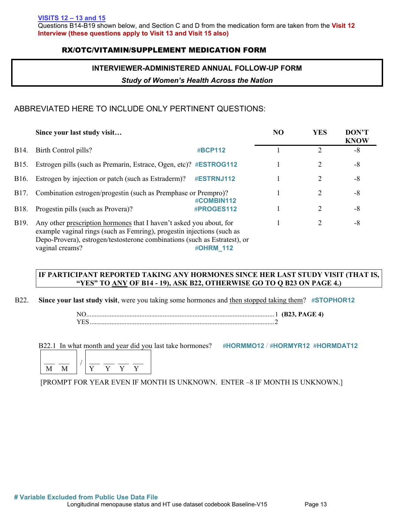## RX/OTC/VITAMIN/SUPPLEMENT MEDICATION FORM

## **INTERVIEWER-ADMINISTERED ANNUAL FOLLOW-UP FORM**

*Study of Women's Health Across the Nation*

## ABBREVIATED HERE TO INCLUDE ONLY PERTINENT QUESTIONS:

|                   | Since your last study visit                                                                                                                                                                                                                   |                | N <sub>O</sub> | <b>YES</b>                  | <b>DON'T</b><br><b>KNOW</b> |
|-------------------|-----------------------------------------------------------------------------------------------------------------------------------------------------------------------------------------------------------------------------------------------|----------------|----------------|-----------------------------|-----------------------------|
| B14.              | Birth Control pills?                                                                                                                                                                                                                          | <b>#BCP112</b> |                |                             | -8                          |
| B15.              | Estrogen pills (such as Premarin, Estrace, Ogen, etc)? #ESTROG112                                                                                                                                                                             |                |                | 2                           | $-8$                        |
| B <sub>16</sub> . | Estrogen by injection or patch (such as Estraderm)?                                                                                                                                                                                           | #ESTRNJ112     |                | $\mathcal{D}_{\mathcal{L}}$ | $-8$                        |
| B17.              | Combination estrogen/progestin (such as Premphase or Prempro)?                                                                                                                                                                                | #COMBIN112     |                | 2                           | -8                          |
| B18.              | Progestin pills (such as Provera)?                                                                                                                                                                                                            | #PROGES112     |                | $\mathcal{D}_{\mathcal{L}}$ | -8                          |
| B19.              | Any other prescription hormones that I haven't asked you about, for<br>example vaginal rings (such as Femring), progestin injections (such as<br>Depo-Provera), estrogen/testosterone combinations (such as Estratest), or<br>vaginal creams? |                | 2              | -8                          |                             |

## **IF PARTICIPANT REPORTED TAKING ANY HORMONES SINCE HER LAST STUDY VISIT (THAT IS, "YES" TO ANY OF B14 - 19), ASK B22, OTHERWISE GO TO Q B23 ON PAGE 4.)**

B22. **Since your last study visit**, were you taking some hormones and then stopped taking them? **#STOPHOR12**

| N۱ | (B23, PAGE 4) |
|----|---------------|
|    |               |

B22.1 In what month and year did you last take hormones? **#HORMMO12** / **#HORMYR12 #HORMDAT12**



[PROMPT FOR YEAR EVEN IF MONTH IS UNKNOWN. ENTER –8 IF MONTH IS UNKNOWN.]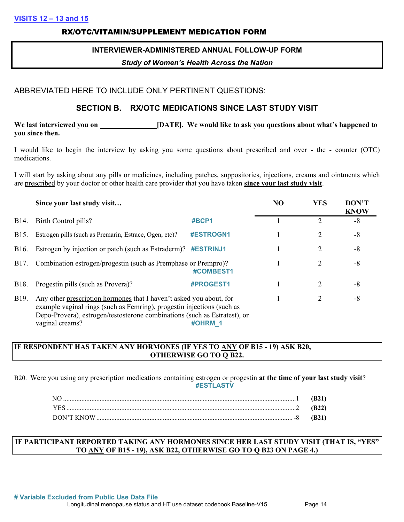## RX/OTC/VITAMIN/SUPPLEMENT MEDICATION FORM

## **INTERVIEWER-ADMINISTERED ANNUAL FOLLOW-UP FORM**

## *Study of Women's Health Across the Nation*

## ABBREVIATED HERE TO INCLUDE ONLY PERTINENT QUESTIONS:

## **SECTION B. RX/OTC MEDICATIONS SINCE LAST STUDY VISIT**

**We last interviewed you on [DATE]. We would like to ask you questions about what's happened to you since then.** 

I would like to begin the interview by asking you some questions about prescribed and over - the - counter (OTC) medications.

I will start by asking about any pills or medicines, including patches, suppositories, injections, creams and ointments which are prescribed by your doctor or other health care provider that you have taken **since your last study visit**.

|                   | Since your last study visit                                                                                                                                                                                                                   |                  | N <sub>O</sub> | <b>YES</b> | <b>DON'T</b><br><b>KNOW</b> |  |
|-------------------|-----------------------------------------------------------------------------------------------------------------------------------------------------------------------------------------------------------------------------------------------|------------------|----------------|------------|-----------------------------|--|
| B14.              | Birth Control pills?                                                                                                                                                                                                                          | #BCP1            |                |            | $-8$                        |  |
| B <sub>15</sub> . | Estrogen pills (such as Premarin, Estrace, Ogen, etc)?                                                                                                                                                                                        | <b>#ESTROGN1</b> |                | 2          | $-8$                        |  |
| B16.              | Estrogen by injection or patch (such as Estraderm)? #ESTRINJ1                                                                                                                                                                                 |                  | 2              | $-8$       |                             |  |
|                   | B17. Combination estrogen/progestin (such as Premphase or Prempro)?                                                                                                                                                                           |                  | 2              | $-8$       |                             |  |
| B18.              | Progestin pills (such as Provera)?                                                                                                                                                                                                            | #PROGEST1        |                | 2          | $-8$                        |  |
| B19.              | Any other prescription hormones that I haven't asked you about, for<br>example vaginal rings (such as Femring), progestin injections (such as<br>Depo-Provera), estrogen/testosterone combinations (such as Estratest), or<br>vaginal creams? |                  | 2              | $-8$       |                             |  |

## **IF RESPONDENT HAS TAKEN ANY HORMONES (IF YES TO ANY OF B15 - 19) ASK B20, OTHERWISE GO TO Q B22.**

B20. Were you using any prescription medications containing estrogen or progestin **at the time of your last study visit**?  **#ESTLASTV**

| NO. |  |
|-----|--|
|     |  |
|     |  |

## **IF PARTICIPANT REPORTED TAKING ANY HORMONES SINCE HER LAST STUDY VISIT (THAT IS, "YES" TO ANY OF B15 - 19), ASK B22, OTHERWISE GO TO Q B23 ON PAGE 4.)**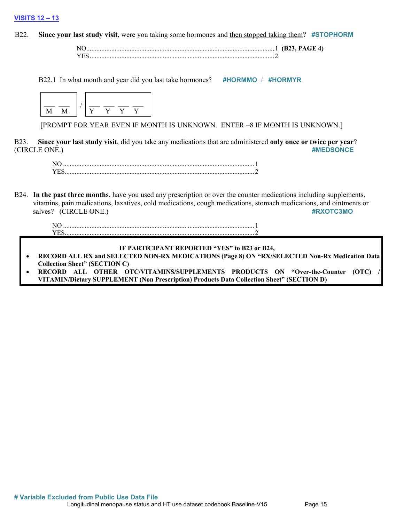## **VISITS 12 – 13**

B22. **Since your last study visit**, were you taking some hormones and then stopped taking them? **#STOPHORM**

NO.................................................................................................................1 **(B23, PAGE 4)** YES...............................................................................................................2

B22.1 In what month and year did you last take hormones? **#HORMMO** / **#HORMYR**



[PROMPT FOR YEAR EVEN IF MONTH IS UNKNOWN. ENTER –8 IF MONTH IS UNKNOWN.]

B23. **Since your last study visit**, did you take any medications that are administered **only once or twice per year**? (CIRCLE ONE.) **#MEDSONCE**

B24. **In the past three months**, have you used any prescription or over the counter medications including supplements, vitamins, pain medications, laxatives, cold medications, cough medications, stomach medications, and ointments or salves? (CIRCLE ONE.) **#RXOTC3MO**

## **IF PARTICIPANT REPORTED "YES" to B23 or B24,**

- **RECORD ALL RX and SELECTED NON-RX MEDICATIONS (Page 8) ON "RX/SELECTED Non-Rx Medication Data Collection Sheet" (SECTION C)**
- **RECORD ALL OTHER OTC/VITAMINS/SUPPLEMENTS PRODUCTS ON "Over-the-Counter (OTC) / VITAMIN/Dietary SUPPLEMENT (Non Prescription) Products Data Collection Sheet" (SECTION D)**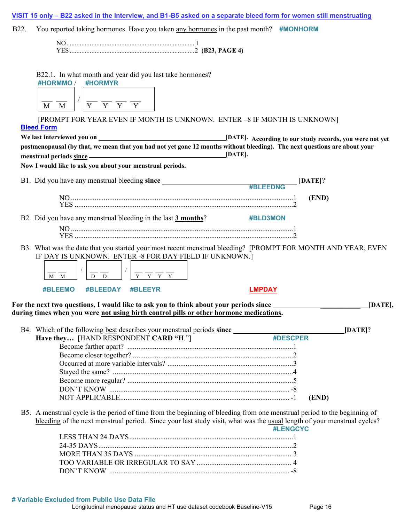|  |  |  |  | VISIT 15 only - B22 asked in the Interview, and B1-B5 asked on a separate bleed form for women still menstruating |  |  |  |  |  |
|--|--|--|--|-------------------------------------------------------------------------------------------------------------------|--|--|--|--|--|
|--|--|--|--|-------------------------------------------------------------------------------------------------------------------|--|--|--|--|--|

B22. You reported taking hormones. Have you taken any hormones in the past month? **#MONHORM**

|  |  |  |  |  |  |  |  |  |  | B22.1. In what month and year did you last take hormones? |  |
|--|--|--|--|--|--|--|--|--|--|-----------------------------------------------------------|--|
|--|--|--|--|--|--|--|--|--|--|-----------------------------------------------------------|--|

| #HORMMO / | <b>#HORMYR</b> |  |  |  |
|-----------|----------------|--|--|--|
| NЛ        |                |  |  |  |

[PROMPT FOR YEAR EVEN IF MONTH IS UNKNOWN. ENTER –8 IF MONTH IS UNKNOWN] **Bleed Form**

**We last interviewed you on [DATE]. According to our study records, you were not yet postmenopausal (by that, we mean that you had not yet gone 12 months without bleeding). The next questions are about your menstrual periods since [DATE].** 

**Now I would like to ask you about your menstrual periods.**

B1. Did you have any menstrual bleeding since  $\Box$  [DATE]?

**#BLEEDNG** NO ..........................................................................................................................1 **(END)** YES ........................................................................................................................2

B2. Did you have any menstrual bleeding in the last **3 months**? **#BLD3MON**

B3. What was the date that you started your most recent menstrual bleeding? [PROMPT FOR MONTH AND YEAR, EVEN IF DAY IS UNKNOWN. ENTER -8 FOR DAY FIELD IF UNKNOWN.]

**For the next two questions, I would like to ask you to think about your periods since \_\_\_\_\_\_\_\_\_\_\_ [DATE], during times when you were not using birth control pills or other hormone medications.**

| B4. Which of the following <u>best</u> describes your menstrual periods <b>since</b> |                 | $[DATE]$ ? |
|--------------------------------------------------------------------------------------|-----------------|------------|
| Have they [HAND RESPONDENT CARD "H."]                                                | <b>#DESCPER</b> |            |
|                                                                                      |                 |            |
|                                                                                      |                 |            |
|                                                                                      |                 |            |
|                                                                                      |                 |            |
|                                                                                      |                 |            |
|                                                                                      |                 |            |
|                                                                                      |                 |            |

B5. A menstrual cycle is the period of time from the beginning of bleeding from one menstrual period to the beginning of bleeding of the next menstrual period. Since your last study visit, what was the usual length of your menstrual cycles?

| #LENGCYC |
|----------|
|          |
|          |
|          |
|          |
|          |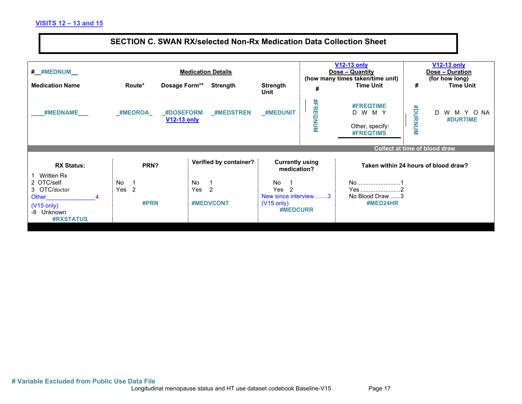## **SECTION C. SWAN RX/selected Non-Rx Medication Data Collection Sheet**

| #_#MEDNUM_<br>Route*<br><b>Medication Name</b>                                                                      |                                              | <b>Medication Details</b><br>Dosage Form**<br>Strength<br><b>Strength</b><br>Unit |                        | <b>V12-13 only</b><br>Dose - Quantity<br>(how many times taken/time unit)<br><b>Time Unit</b><br>#                         |                 | <b>V12-13 only</b><br>Dose - Duration<br>(for how long)<br>#<br><b>Time Unit</b> |                |                                      |
|---------------------------------------------------------------------------------------------------------------------|----------------------------------------------|-----------------------------------------------------------------------------------|------------------------|----------------------------------------------------------------------------------------------------------------------------|-----------------|----------------------------------------------------------------------------------|----------------|--------------------------------------|
| <b>#MEDNAME</b>                                                                                                     | #MEDROA____#DOSEFORM                         | <b>V12-13 only</b>                                                                | #MEDSTREN              | <b>#MEDUNIT</b>                                                                                                            | <b>#FREQNUM</b> | <b>#FREQTIME</b><br>D W M Y<br>Other, specify:<br><b>#FREQTIMS</b>               | <b>#DURNUM</b> | W M Y O NA<br>D<br><b>#DURTIME</b>   |
|                                                                                                                     |                                              |                                                                                   |                        |                                                                                                                            |                 |                                                                                  |                | <b>Collect at time of blood draw</b> |
| <b>RX Status:</b><br>Written Rx<br>2 OTC/self<br>3 OTC/doctor<br><b>Other</b><br>$(V15 \text{ only})$<br>-8 Unknown | PRN?<br>No.<br>Yes<br>$\overline{2}$<br>#PRN | No.<br>$\overline{2}$<br>Yes<br><b>#MEDVCONT</b>                                  | Verified by container? | <b>Currently using</b><br>medication?<br>No<br>Yes<br>2<br>New since interview3<br>$(V15 \text{ only})$<br><b>#MEDCURR</b> |                 | No1<br>Yes 2<br>No Blood Draw 3<br>#MED24HR                                      |                | Taken within 24 hours of blood draw? |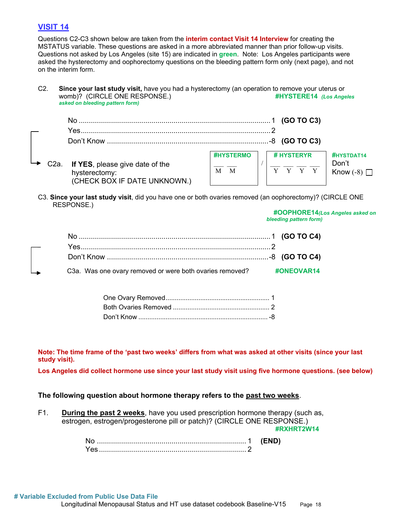## **VISIT 14**

Questions C2-C3 shown below are taken from the **interim contact Visit 14 Interview** for creating the MSTATUS variable. These questions are asked in a more abbreviated manner than prior follow-up visits. Questions not asked by Los Angeles (site 15) are indicated in **green**. Note: Los Angeles participants were asked the hysterectomy and oophorectomy questions on the bleeding pattern form only (next page), and not on the interim form.

C2. **Since your last study visit,** have you had a hysterectomy (an operation to remove your uterus or womb)? (CIRCLE ONE RESPONSE.) **#HYSTERE14** *(Los Angeles asked on bleeding pattern form)*

|      | N٥                                                                                       |                            | (GOTO C3)             |                                           |
|------|------------------------------------------------------------------------------------------|----------------------------|-----------------------|-------------------------------------------|
|      | Yes…                                                                                     |                            |                       |                                           |
| C2a. | <b>If YES</b> , please give date of the<br>hysterectomy:<br>(CHECK BOX IF DATE UNKNOWN.) | <b>#HYSTERMO</b><br>M<br>M | # HYSTERYR<br>Y Y Y Y | #HYSTDAT14<br>Don't<br>Know $(-8)$ $\Box$ |

C3. **Since your last study visit**, did you have one or both ovaries removed (an oophorectomy)? (CIRCLE ONE RESPONSE.)

 **#OOPHORE14***(Los Angeles asked on bleeding pattern form)*

| C3a. Was one ovary removed or were both ovaries removed? #ONEOVAR14 |  |
|---------------------------------------------------------------------|--|

**Note: The time frame of the 'past two weeks' differs from what was asked at other visits (since your last study visit).** 

**Los Angeles did collect hormone use since your last study visit using five hormone questions. (see below)**

## **The following question about hormone therapy refers to the past two weeks**.

F1. **During the past 2 weeks**, have you used prescription hormone therapy (such as, estrogen, estrogen/progesterone pill or patch)? (CIRCLE ONE RESPONSE.) **#RXHRT2W14**

No .......................................................................... 1 **(END)** Yes ......................................................................... 2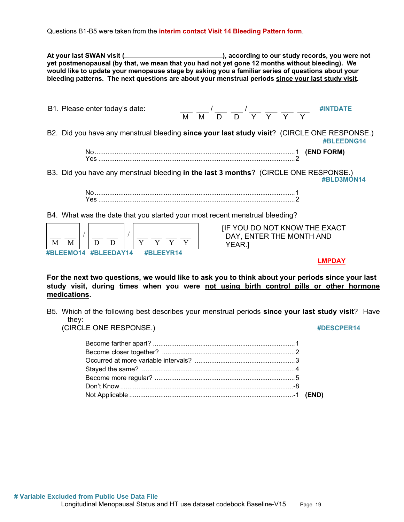**At your last SWAN visit ( ), according to our study records, you were not yet postmenopausal (by that, we mean that you had not yet gone 12 months without bleeding). We would like to update your menopause stage by asking you a familiar series of questions about your bleeding patterns. The next questions are about your menstrual periods since your last study visit.**

| B1. Please enter today's date:<br>M                                         | $\frac{1}{M}$ $\frac{1}{D}$ $\frac{1}{D}$ $\frac{1}{N}$ $\frac{1}{N}$ $\frac{1}{N}$ $\frac{1}{N}$ $\frac{1}{N}$ |
|-----------------------------------------------------------------------------|-----------------------------------------------------------------------------------------------------------------|
|                                                                             | B2. Did you have any menstrual bleeding since your last study visit? (CIRCLE ONE RESPONSE.)<br>#BLEEDNG14       |
|                                                                             |                                                                                                                 |
|                                                                             |                                                                                                                 |
|                                                                             | B3. Did you have any menstrual bleeding in the last 3 months? (CIRCLE ONE RESPONSE.)<br>#BLD3MON14              |
| Yes                                                                         |                                                                                                                 |
| B4. What was the date that you started your most recent menstrual bleeding? |                                                                                                                 |
| Y Y Y<br>D<br>D<br>M<br>M                                                   | <b>IF YOU DO NOT KNOW THE EXACT</b><br>DAY, ENTER THE MONTH AND<br>YEAR.]                                       |
|                                                                             |                                                                                                                 |

**For the next two questions, we would like to ask you to think about your periods since your last study visit, during times when you were not using birth control pills or other hormone medications.**

B5. Which of the following best describes your menstrual periods **since your last study visit**? Have they:

(CIRCLE ONE RESPONSE.) **#DESCPER14**